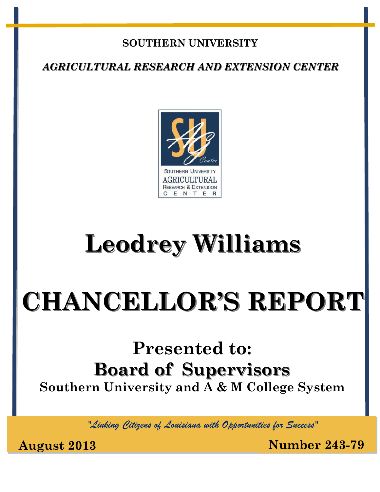## **SOUTHERN UNIVERSITY**

*AGRICULTURAL RESEARCH AND EXTENSION CENTER*



# **Leodrey Williams**

# **CHANCELLOR'S REPORT**

## **Presented to: Board of Supervisors Southern University and A & M College System**

*"Linking Citizens of Louisiana with Opportunities for Success"*

**August 2013 Number 243-79**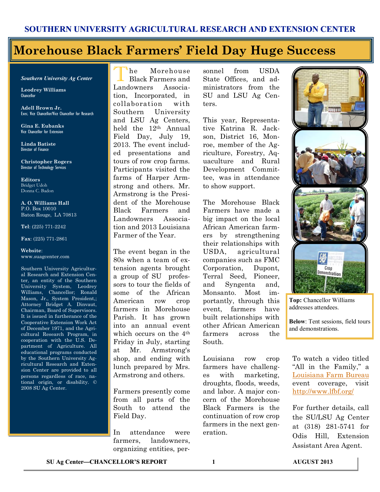## **Morehouse Black Farmers' Field Day Huge Success**

#### *Southern University Ag Center*

**Leodrey Williams Chancellor** 

**Adell Brown Jr.**  Exec. Vice Chancellor/Vice Chancellor for Research

**Gina E. Eubanks** Vice Chancellor for Extension

**Linda Batiste** Director of Finance

**Christopher Rogers** Director of Technology Services

**Editors** Bridget Udoh Donna C. Badon

**A. O. Williams Hall** P.O. Box 10010 Baton Rouge, LA 70813

**Tel**: (225) 771-2242

**Fax**: (225) 771-2861

#### **Website**: www.suagcenter.com

Southern University Agricultural Research and Extension Center, an entity of the Southern University System, Leodrey Williams, Chancellor; Ronald Mason, Jr., System President,; Attorney Bridget A. Dinvaut, Chairman, Board of Supervisors. It is issued in furtherance of the Cooperative Extension Work Act of December 1971, and the Agricultural Research Program, in cooperation with the U.S. Department of Agriculture. All educational programs conducted by the Southern University Agricultural Research and Extension Center are provided to all persons regardless of race, national origin, or disability. © 2008 SU Ag Center.

T he Morehouse Black Farmers and Landowners Association, Incorporated, in collaboration with Southern University and LSU Ag Centers, held the 12th Annual Field Day, July 19, 2013. The event included presentations and tours of row crop farms. Participants visited the farms of Harper Armstrong and others. Mr. Armstrong is the President of the Morehouse Black Farmers and Landowners Association and 2013 Louisiana Farmer of the Year.

The event began in the 80s when a team of extension agents brought a group of SU professors to tour the fields of some of the African American row crop farmers in Morehouse Parish. It has grown into an annual event which occurs on the 4<sup>th</sup> Friday in July, starting at Mr. Armstrong's shop, and ending with lunch prepared by Mrs. Armstrong and others.

Farmers presently come from all parts of the South to attend the Field Day.

In attendance were farmers, landowners, organizing entities, per-

sonnel from USDA State Offices, and administrators from the SU and LSU Ag Centers.

This year, Representative Katrina R. Jackson, District 16, Monroe, member of the Agriculture, Forestry, Aquaculture and Rural Development Committee, was in attendance to show support.

The Morehouse Black Farmers have made a big impact on the local African American farmers by strengthening their relationships with USDA, agricultural companies such as FMC Corporation, Dupont, Terral Seed, Pioneer, and Syngenta and, Monsanto. Most importantly, through this event, farmers have built relationships with other African American farmers across the South.

Louisiana row crop farmers have challenges with marketing, droughts, floods, weeds, and labor. A major concern of the Morehouse Black Farmers is the continuation of row crop farmers in the next generation.



**Top:** Chancellor Williams addresses attendees.

**Below**: Tent sessions, field tours and demonstrations.

To watch a video titled "All in the Family," a [Louisiana Farm Bureau](http://www.youtube.com/watch?feature=player_embedded&v=0zCUcvUDQ9w) event coverage, visit <http://www.lfbf.org/>

For further details, call the SU/LSU Ag Center at (318) 281-5741 for Odis Hill, Extension Assistant Area Agent.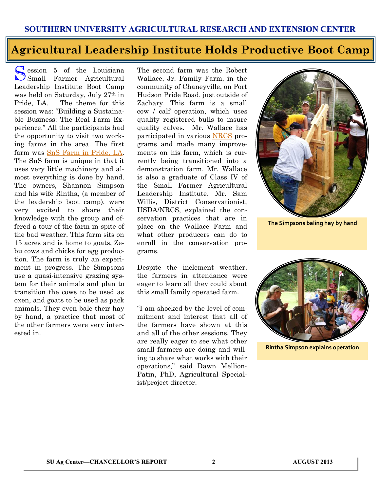#### **Agricultural Leadership Institute Holds Productive Boot Camp**

Session 5 of the Louisiana<br>
Small Farmer Agricultural C ession 5 of the Louisiana Leadership Institute Boot Camp was held on Saturday, July 27th in Pride, LA. The theme for this session was: "Building a Sustainable Business: The Real Farm Experience." All the participants had the opportunity to visit two working farms in the area. The first farm was [SnS Farm in Pride, LA.](https://www.facebook.com/SNSGoatMilkSoap) The SnS farm is unique in that it uses very little machinery and almost everything is done by hand. The owners, Shannon Simpson and his wife Rintha, (a member of the leadership boot camp), were very excited to share their knowledge with the group and offered a tour of the farm in spite of the bad weather. This farm sits on 15 acres and is home to goats, Zebu cows and chicks for egg production. The farm is truly an experiment in progress. The Simpsons use a quasi-intensive grazing system for their animals and plan to transition the cows to be used as oxen, and goats to be used as pack animals. They even bale their hay by hand, a practice that most of the other farmers were very interested in.

The second farm was the Robert Wallace, Jr. Family Farm, in the community of Chaneyville, on Port Hudson Pride Road, just outside of Zachary. This farm is a small cow / calf operation, which uses quality registered bulls to insure quality calves. Mr. Wallace has participated in various [NRCS](http://www.nrcs.usda.gov/wps/portal/nrcs/site/national/home/) programs and made many improvements on his farm, which is currently being transitioned into a demonstration farm. Mr. Wallace is also a graduate of Class IV of the Small Farmer Agricultural Leadership Institute. Mr. Sam Willis, District Conservationist, USDA/NRCS, explained the conservation practices that are in place on the Wallace Farm and what other producers can do to enroll in the conservation programs.

Despite the inclement weather, the farmers in attendance were eager to learn all they could about this small family operated farm.

"I am shocked by the level of commitment and interest that all of the farmers have shown at this and all of the other sessions. They are really eager to see what other small farmers are doing and willing to share what works with their operations," said Dawn Mellion-Patin, PhD, Agricultural Specialist/project director.



**The Simpsons baling hay by hand**



**Rintha Simpson explains operation**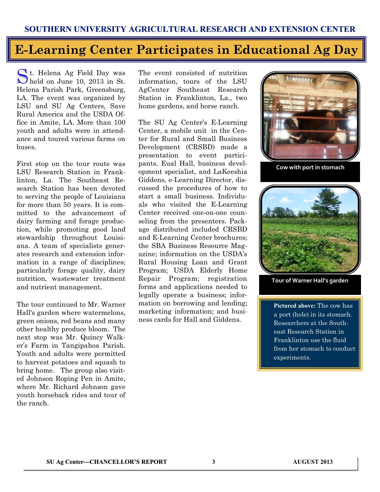## **E-Learning Center Participates in Educational Ag Day**

St. Helena Ag Field Day was<br>held on June 10, 2013 in St. t. Helena Ag Field Day was Helena Parish Park, Greensburg, LA. The event was organized by LSU and SU Ag Centers, Save Rural America and the USDA Office in Amite, LA. More than 100 youth and adults were in attendance and toured various farms on buses.

First stop on the tour route was LSU Research Station in Franklinton, La. The Southeast Research Station has been devoted to serving the people of Louisiana for more than 50 years. It is committed to the advancement of dairy farming and forage production, while promoting good land stewardship throughout Louisiana. A team of specialists generates research and extension information in a range of disciplines; particularly forage quality, dairy nutrition, wastewater treatment and nutrient management.

The tour continued to Mr. Warner Hall's garden where watermelons, green onions, red beans and many other healthy produce bloom. The next stop was Mr. Quincy Walker's Farm in Tangipahoa Parish. Youth and adults were permitted to harvest potatoes and squash to bring home. The group also visited Johnson Roping Pen in Amite, where Mr. Richard Johnson gave youth horseback rides and tour of the ranch.

The event consisted of nutrition information, tours of the LSU AgCenter Southeast Research Station in Franklinton, La., two home gardens, and horse ranch.

The SU Ag Center's E-Learning Center, a mobile unit in the Center for Rural and Small Business Development (CRSBD) made a presentation to event participants. Eual Hall, business development specialist, and LaKeeshia Giddens, e-Learning Director, discussed the procedures of how to start a small business. Individuals who visited the E-Learning Center received one-on-one counseling from the presenters. Package distributed included CRSBD and E-Learning Center brochures; the SBA Business Resource Magazine; information on the USDA's Rural Housing Loan and Grant Program; USDA Elderly Home Repair Program; registration forms and applications needed to legally operate a business; information on borrowing and lending; marketing information; and business cards for Hall and Giddens.



**Cow with port in stomach**



**Tour of Warner Hall's garden**

**Pictured above:** The cow has a port (hole) in its stomach. Researchers at the Southeast Research Station in Franklinton use the fluid from her stomach to conduct experiments.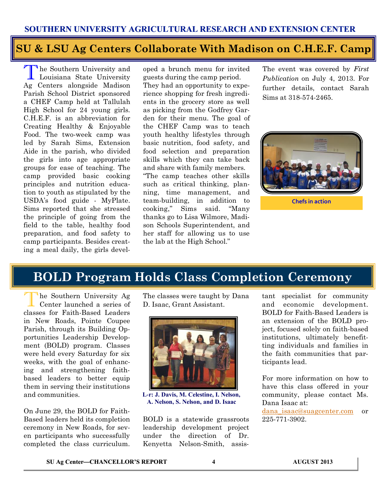### **SU & LSU Ag Centers Collaborate With Madison on C.H.E.F. Camp**

The Southern University and<br>Louisiana State University he Southern University and Ag Centers alongside Madison Parish School District sponsored a CHEF Camp held at Tallulah High School for 24 young girls. C.H.E.F. is an abbreviation for Creating Healthy & Enjoyable Food. The two-week camp was led by Sarah Sims, Extension Aide in the parish, who divided the girls into age appropriate groups for ease of teaching. The camp provided basic cooking principles and nutrition education to youth as stipulated by the USDA's food guide - MyPlate. Sims reported that she stressed the principle of going from the field to the table, healthy food preparation, and food safety to camp participants. Besides creating a meal daily, the girls devel-

oped a brunch menu for invited guests during the camp period. They had an opportunity to experience shopping for fresh ingredients in the grocery store as well as picking from the Godfrey Garden for their menu. The goal of the CHEF Camp was to teach youth healthy lifestyles through basic nutrition, food safety, and food selection and preparation skills which they can take back and share with family members. "The camp teaches other skills such as critical thinking, planning, time management, and team-building, in addition to cooking," Sims said. "Many thanks go to Lisa Wilmore, Madison Schools Superintendent, and her staff for allowing us to use the lab at the High School."

The event was covered by *First Publication* on July 4, 2013. For further details, contact Sarah Sims at 318-574-2465.



**Chefs in action**

## **BOLD Program Holds Class Completion Ceremony**

The Southern University Ag<br>Center launched a series of he Southern University Ag classes for Faith-Based Leaders in New Roads, Pointe Coupee Parish, through its Building Opportunities Leadership Development (BOLD) program. Classes were held every Saturday for six weeks, with the goal of enhancing and strengthening faithbased leaders to better equip them in serving their institutions and communities.

On June 29, the BOLD for Faith-Based leaders held its completion ceremony in New Roads, for seven participants who successfully completed the class curriculum.

The classes were taught by Dana D. Isaac, Grant Assistant.



**L-r: J. Davis, M. Celestine, I. Nelson, A. Nelson, S. Nelson, and D. Isaac**

BOLD is a statewide grassroots leadership development project under the direction of Dr. Kenyetta Nelson-Smith, assis-

tant specialist for community and economic development. BOLD for Faith-Based Leaders is an extension of the BOLD project, focused solely on faith-based institutions, ultimately benefitting individuals and families in the faith communities that participants lead.

For more information on how to have this class offered in your community, please contact Ms. Dana Isaac at:

[dana\\_isaac@suagcenter.com](mailto:dana_isaac@suagcenter.com) or 225-771-3902.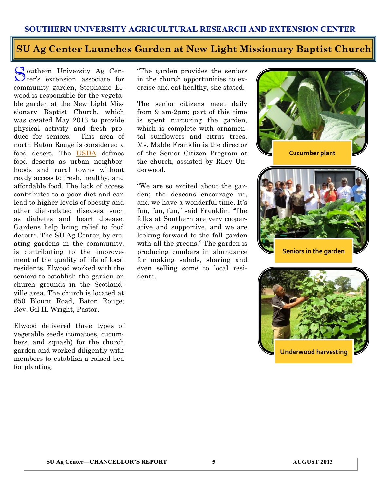#### **SU Ag Center Launches Garden at New Light Missionary Baptist Church**

Southern University Ag Center's extension associate for outhern University Ag Cencommunity garden, Stephanie Elwood is responsible for the vegetable garden at the New Light Missionary Baptist Church, which was created May 2013 to provide physical activity and fresh produce for seniors. This area of north Baton Rouge is considered a food desert. The [USDA](http://apps.ams.usda.gov/fooddeserts/foodDeserts.) defines food deserts as urban neighborhoods and rural towns without ready access to fresh, healthy, and affordable food. The lack of access contributes to a poor diet and can lead to higher levels of obesity and other diet-related diseases, such as diabetes and heart disease. Gardens help bring relief to food deserts. The SU Ag Center, by creating gardens in the community, is contributing to the improvement of the quality of life of local residents. Elwood worked with the seniors to establish the garden on church grounds in the Scotlandville area. The church is located at 650 Blount Road, Baton Rouge; Rev. Gil H. Wright, Pastor.

Elwood delivered three types of vegetable seeds (tomatoes, cucumbers, and squash) for the church garden and worked diligently with members to establish a raised bed for planting.

"The garden provides the seniors in the church opportunities to exercise and eat healthy, she stated.

The senior citizens meet daily from 9 am-2pm; part of this time is spent nurturing the garden, which is complete with ornamental sunflowers and citrus trees. Ms. Mable Franklin is the director of the Senior Citizen Program at the church, assisted by Riley Underwood.

"We are so excited about the garden; the deacons encourage us, and we have a wonderful time. It's fun, fun, fun," said Franklin. "The folks at Southern are very cooperative and supportive, and we are looking forward to the fall garden with all the greens." The garden is producing cumbers in abundance for making salads, sharing and even selling some to local residents.

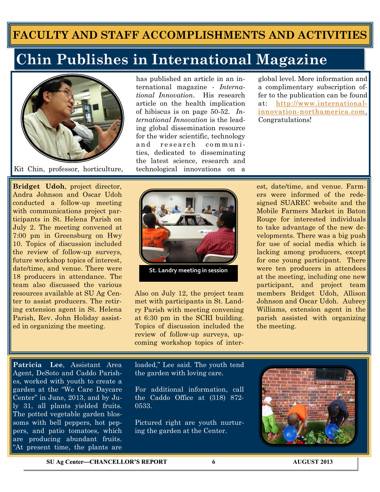## **FACULTY AND STAFF ACCOMPLISHMENTS AND ACTIVITIES**

## **Chin Publishes in International Magazine**



Kit Chin, professor, horticulture,

**Bridget Udoh**, project director, Andra Johnson and Oscar Udoh conducted a follow-up meeting with communications project participants in St. Helena Parish on July 2. The meeting convened at 7:00 pm in Greensburg on Hwy 10. Topics of discussion included the review of follow-up surveys, future workshop topics of interest, date/time, and venue. There were 18 producers in attendance. The team also discussed the various resources available at SU Ag Center to assist producers. The retiring extension agent in St. Helena Parish, Rev. John Holiday assisted in organizing the meeting.

has published an article in an international magazine - *International Innovation*. His research article on the health implication of hibiscus is on page 50-52. *International Innovation* is the leading global dissemination resource for the wider scientific, technology and research communities, dedicated to disseminating the latest science, research and technological innovations on a

global level. More information and a complimentary subscription offer to the publication can be found at: [http://www.international](http://www.international-innovation-northamerica.com/)[innovation-northamerica.com.](http://www.international-innovation-northamerica.com/) Congratulations!



**St. Landry meeting in session**

Also on July 12, the project team met with participants in St. Landry Parish with meeting convening at 6:30 pm in the SCRI building. Topics of discussion included the review of follow-up surveys, upcoming workshop topics of interest, date/time, and venue. Farmers were informed of the redesigned SUAREC website and the Mobile Farmers Market in Baton Rouge for interested individuals to take advantage of the new developments. There was a big push for use of social media which is lacking among producers, except for one young participant. There were ten producers in attendees at the meeting, including one new participant, and project team members Bridget Udoh, Allison Johnson and Oscar Udoh. Aubrey Williams, extension agent in the parish assisted with organizing the meeting.

**Patricia Lee**, Assistant Area Agent, DeSoto and Caddo Parishes, worked with youth to create a garden at the "We Care Daycare Center" in June, 2013, and by July 31, all plants yielded fruits. The potted vegetable garden blossoms with bell peppers, hot peppers, and patio tomatoes, which are producing abundant fruits. "At present time, the plants are

loaded," Lee said. The youth tend the garden with loving care.

For additional information, call the Caddo Office at (318) 872- 0533.

Pictured right are youth nurturing the garden at the Center.



**SU Ag Center—CHANCELLOR'S REPORT 6 AUGUST 2013**